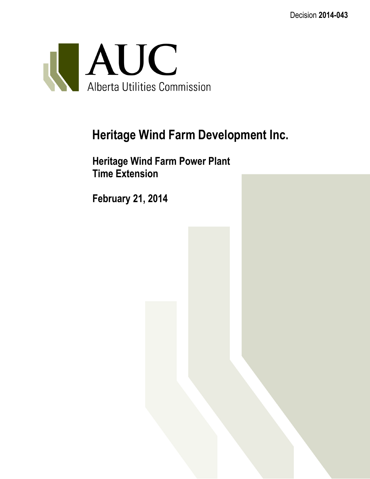Decision **2014-043**



# **Heritage Wind Farm Development Inc.**

**Heritage Wind Farm Power Plant Time Extension**

**February 21, 2014**

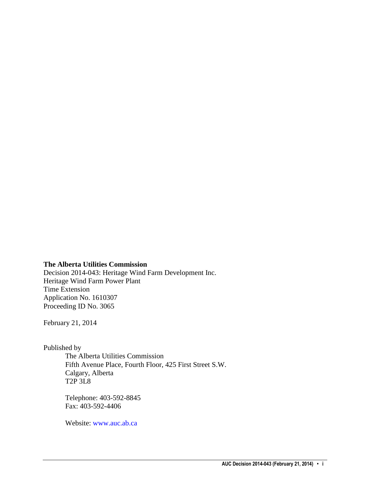#### **The Alberta Utilities Commission**

Decision 2014-043: Heritage Wind Farm Development Inc. Heritage Wind Farm Power Plant Time Extension Application No. 1610307 Proceeding ID No. 3065

February 21, 2014

Published by

The Alberta Utilities Commission Fifth Avenue Place, Fourth Floor, 425 First Street S.W. Calgary, Alberta T2P 3L8

Telephone: 403-592-8845 Fax: 403-592-4406

Website: [www.auc.ab.ca](http://www.auc.ab.ca/)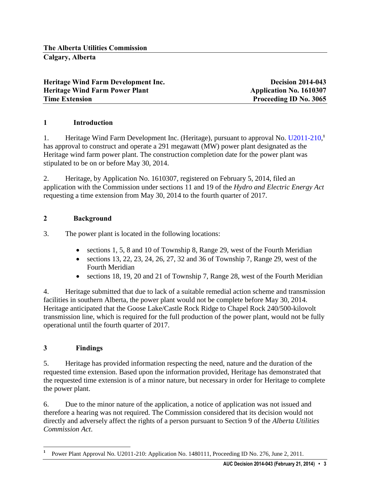| Heritage Wind Farm Development Inc.   | <b>Decision 2014-043</b>       |
|---------------------------------------|--------------------------------|
| <b>Heritage Wind Farm Power Plant</b> | <b>Application No. 1610307</b> |
| <b>Time Extension</b>                 | Proceeding ID No. 3065         |

## **1 Introduction**

1. Heritage Wind Farm Development Inc. (Heritage), pursuant to approval No. [U2011-210,](http://www.auc.ab.ca/applications/orders/utility-orders/Utility%20Orders/2011/U2011-210.pdf) **1** has approval to construct and operate a 291 megawatt (MW) power plant designated as the Heritage wind farm power plant. The construction completion date for the power plant was stipulated to be on or before May 30, 2014.

2. Heritage, by Application No. 1610307, registered on February 5, 2014, filed an application with the Commission under sections 11 and 19 of the *Hydro and Electric Energy Act*  requesting a time extension from May 30, 2014 to the fourth quarter of 2017.

#### **2 Background**

3. The power plant is located in the following locations:

- sections 1, 5, 8 and 10 of Township 8, Range 29, west of the Fourth Meridian
- sections 13, 22, 23, 24, 26, 27, 32 and 36 of Township 7, Range 29, west of the Fourth Meridian
- sections 18, 19, 20 and 21 of Township 7, Range 28, west of the Fourth Meridian

4. Heritage submitted that due to lack of a suitable remedial action scheme and transmission facilities in southern Alberta, the power plant would not be complete before May 30, 2014. Heritage anticipated that the Goose Lake/Castle Rock Ridge to Chapel Rock 240/500-kilovolt transmission line, which is required for the full production of the power plant, would not be fully operational until the fourth quarter of 2017.

## **3 Findings**

 $\overline{a}$ 

5. Heritage has provided information respecting the need, nature and the duration of the requested time extension. Based upon the information provided, Heritage has demonstrated that the requested time extension is of a minor nature, but necessary in order for Heritage to complete the power plant.

6. Due to the minor nature of the application, a notice of application was not issued and therefore a hearing was not required. The Commission considered that its decision would not directly and adversely affect the rights of a person pursuant to Section 9 of the *Alberta Utilities Commission Act*.

**<sup>1</sup>** Power Plant Approval No. U2011-210: Application No. 1480111, Proceeding ID No. 276, June 2, 2011.